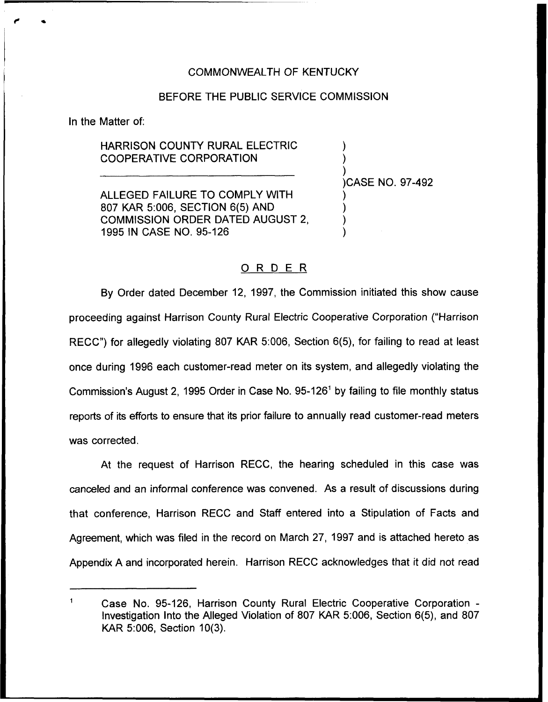## COMMONWEALTH OF KENTUCKY

## BEFORE THE PUBLIC SERVICE COMMISSION

In the Matter of:

HARRISON COUNTY RURAL ELECTRIC COOPERATIVE CORPORATION

ALLEGED FAILURE TO COMPLY WiTH 807 KAR 5:006, SECTION 6(5) AND COMMISSION ORDER DATED AUGUST 2, 1995 IN CASE NO. 95-126

) )CASE NO. 97-492

) )

) ) ) )

## ORDER

By Order dated December 12, 1997, the Commission initiated this show cause proceeding against Harrison County Rural Electric Cooperative Corporation ("Harrison RECC") for allegedly violating 807 KAR 5:006, Section 6(5), for failing to read at least once during 1996 each customer-read meter on its system, and allegedly violating the Commission's August 2, 1995 Order in Case No.  $95-126$ <sup>1</sup> by failing to file monthly status reports of its efforts to ensure that its prior failure to annually read customer-read meters was corrected.

At the request of Harrison RECC, the hearing scheduled in this case was canceled and an informal conference was convened. As a result of discussions during that conference, Harrison RECC and Staff entered into a Stipulation of Facts and Agreement, which was filed in the record on March 27, 1997 and is attached hereto as Appendix A and incorporated herein. Harrison RECC acknowtedges that it did not read

 $\mathbf{1}$ Case No, 95-126, Harrison County Rural Electric Cooperative Corporation-Investigation Into the Alleged Violation of 807 KAR 5:006, Section 6(5), and 807 KAR 5:006, Section 10(3).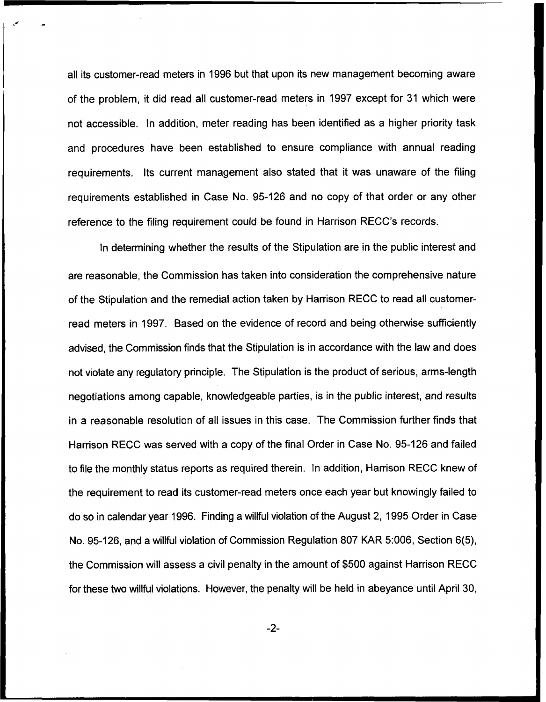all its customer-read meters in 1996 but that upon its new management becoming aware of the problem, it did read all customer-read meters in 1997 except for 31 which were not accessible. In addition, meter reading has been identified as a higher priority task and procedures have been established to ensure compliance with annual reading requirements. Its current management also stated that it was unaware of the filing requirements established in Case No. 95-126 and no copy of that order or any other reference to the filing requirement could be found in Harrison RECC's records.

ln determining whether the results of the Stipulation are in the public interest and are reasonable, the Commission has taken into consideration the comprehensive nature of the Stipulation and the remedial action taken by Harrison RECC to read all customerread meters in 1997. Based on the evidence of record and being otherwise sufficiently advised, the Commission finds that the Stipulation is in accordance with the law and does not violate any regulatory principle. The Stipulation is the product of serious, arms-length negotiations among capable, knowledgeable parties, is in the public interest, and results in a reasonable resolution of all issues in this case. The Commission further finds that Harrison RECC was served with a copy of the final Order in Case No. 95-126 and failed to file the monthly status reports as required therein. In addition, Harrison RECC knew of the requirement to read its customer-read meters once each year but knowingly failed to do so in calendar year 1996. Finding a willful violation of the August 2, 1995 Order in Case No. 95-126, and a willful violation of Commission Regulation 807 KAR 5:006, Section 6(5), the Commission will assess a civil penalty in the amount of \$500 against Harrison RECC for these two willful violations. However, the penalty will be held in abeyance until April 30,

 $-2-$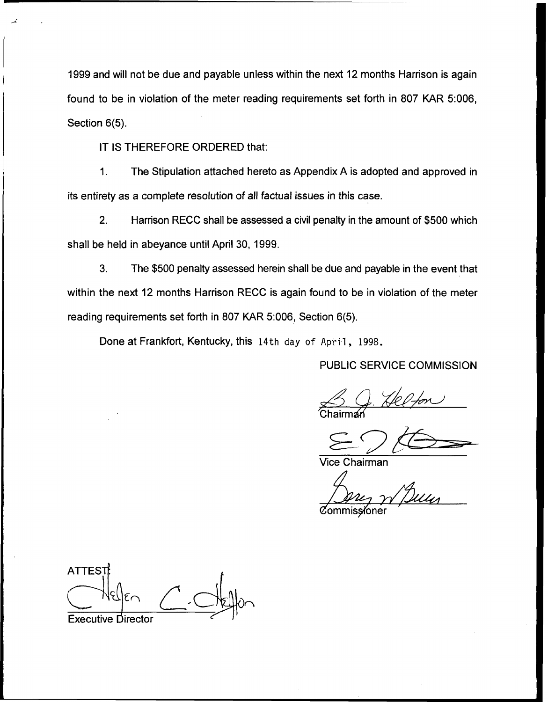1999and will not be due and payable unless within the next 12 months Harrison is again found to be in violation of the meter reading requirements set forth in 807 KAR 5:006, Section 6(5).

IT IS THEREFORE ORDERED that:

 $1.$ The Stipulation attached hereto as Appendix A is adopted and approved in its entirety as a complete resolution of all factual issues in this case.

2. Harrison RECC shall be assessed a civil penalty in the amount of \$500 which shall be held in abeyance until April 30, 1999.

3. The \$500 penalty assessed herein shall be due and payable in the event that within the next 12 months Harrison RECC is again found to be in violation of the meter reading requirements set forth in 807 KAR 5:006, Section 6(5).

Done at Frankfort, Kentucky, this 14th day of April, 1998.

PUBLIC SERVICE COMMISSION

<u>Chairman</u>

Vice Chairman

**Commissioner** 

**ATTEST** Executive director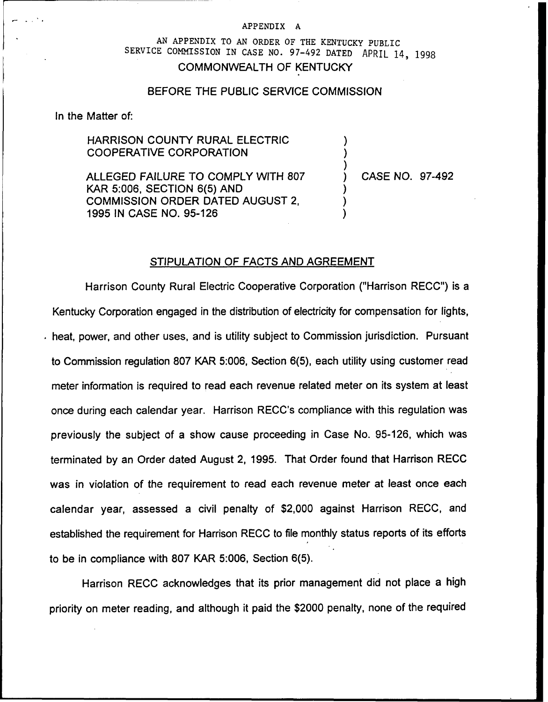#### APPENDIX A

# AN APPENDIX TO AN ORDER OF THE KENTUCKY PUBLIC SERVICE COMMISSION IN CASE NO. 97-492 DATED APRIL 14, 1998 COMMONWEALTH OF KENTUCKY

#### BEFORE THE PUBLIC SERVICE COMMISSION

In the Matter of:

## HARRISON COUNTY RURAL ELECTRIC COOPERATIVE CORPORATION

ALLEGED FAILURE TO COMPLY WITH 807 KAR 5:006, SECTION 6(5) AND COMMISSION ORDER DATED AUGUST 2, 1995 IN CASE NO. 95-126

) CASE NO. 97-492

) ) )

) ) )

#### STIPULATION OF FACTS AND AGREEMENT

Harrison County Rural Electric Cooperative Corporation ("Harrison RECC") is a Kentucky Corporation engaged in the distribution of electricity for compensation for lights, heat, power, and other uses, and is utility subject to Commission jurisdiction. Pursuant to Commission regulation 807 KAR 5:006, Section 6(5), each utility using customer read meter information is required to read each revenue related meter on its system at least once during each calendar year. Harrison RECC's compliance with this regulation was previously the subject of a show cause proceeding in Case No. 95-126, which was terminated by an Order dated August 2, 1995. That Order found that Harrison RECC was in violation of the requirement to read each revenue meter at least once each calendar year, assessed a civil penalty of \$2,000 against Harrison RECC, and established the requirement for Harrison RECC to file monthly status reports of its efforts to be in compliance with 807 KAR 5:006, Section 6(5).

Harrison RECC acknowledges that its prior management did not place a high priority on meter reading, and although it paid the \$2000 penalty, none of the required